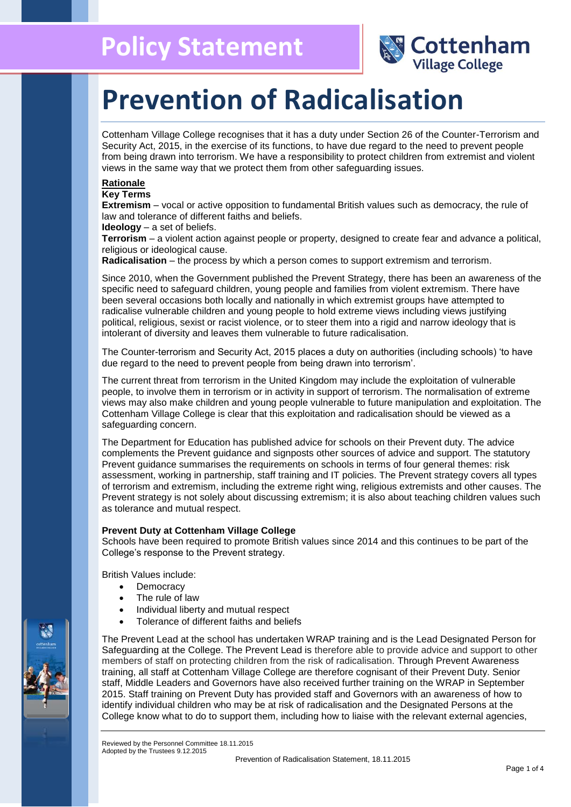

# **Prevention of Radicalisation**

Cottenham Village College recognises that it has a duty under Section 26 of the Counter-Terrorism and Security Act, 2015, in the exercise of its functions, to have due regard to the need to prevent people from being drawn into terrorism. We have a responsibility to protect children from extremist and violent views in the same way that we protect them from other safeguarding issues.

### **Rationale**

**Key Terms**

**Extremism** – vocal or active opposition to fundamental British values such as democracy, the rule of law and tolerance of different faiths and beliefs.

**Ideology** – a set of beliefs.

**Terrorism** – a violent action against people or property, designed to create fear and advance a political, religious or ideological cause.

**Radicalisation** – the process by which a person comes to support extremism and terrorism.

Since 2010, when the Government published the Prevent Strategy, there has been an awareness of the specific need to safeguard children, young people and families from violent extremism. There have been several occasions both locally and nationally in which extremist groups have attempted to radicalise vulnerable children and young people to hold extreme views including views justifying political, religious, sexist or racist violence, or to steer them into a rigid and narrow ideology that is intolerant of diversity and leaves them vulnerable to future radicalisation.

The Counter-terrorism and Security Act, 2015 places a duty on authorities (including schools) 'to have due regard to the need to prevent people from being drawn into terrorism'.

The current threat from terrorism in the United Kingdom may include the exploitation of vulnerable people, to involve them in terrorism or in activity in support of terrorism. The normalisation of extreme views may also make children and young people vulnerable to future manipulation and exploitation. The Cottenham Village College is clear that this exploitation and radicalisation should be viewed as a safeguarding concern.

The Department for Education has published advice for schools on their Prevent duty. The advice complements the Prevent guidance and signposts other sources of advice and support. The statutory Prevent guidance summarises the requirements on schools in terms of four general themes: risk assessment, working in partnership, staff training and IT policies. The Prevent strategy covers all types of terrorism and extremism, including the extreme right wing, religious extremists and other causes. The Prevent strategy is not solely about discussing extremism; it is also about teaching children values such as tolerance and mutual respect.

#### **Prevent Duty at Cottenham Village College**

Schools have been required to promote British values since 2014 and this continues to be part of the College's response to the Prevent strategy.

British Values include:

- Democracy
- The rule of law
- Individual liberty and mutual respect
- Tolerance of different faiths and beliefs

The Prevent Lead at the school has undertaken WRAP training and is the Lead Designated Person for Safeguarding at the College. The Prevent Lead is therefore able to provide advice and support to other members of staff on protecting children from the risk of radicalisation. Through Prevent Awareness training, all staff at Cottenham Village College are therefore cognisant of their Prevent Duty. Senior staff, Middle Leaders and Governors have also received further training on the WRAP in September 2015. Staff training on Prevent Duty has provided staff and Governors with an awareness of how to identify individual children who may be at risk of radicalisation and the Designated Persons at the College know what to do to support them, including how to liaise with the relevant external agencies,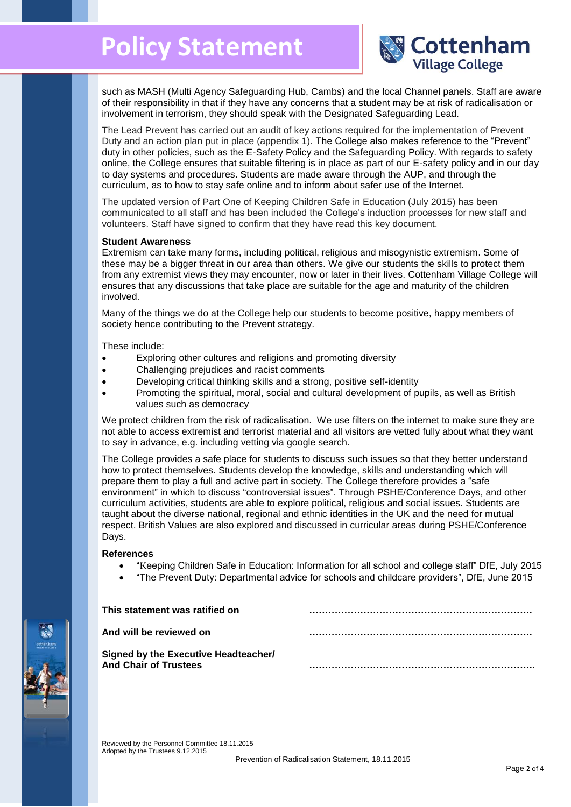## **Policy Statement**



such as MASH (Multi Agency Safeguarding Hub, Cambs) and the local Channel panels. Staff are aware of their responsibility in that if they have any concerns that a student may be at risk of radicalisation or involvement in terrorism, they should speak with the Designated Safeguarding Lead.

The Lead Prevent has carried out an audit of key actions required for the implementation of Prevent Duty and an action plan put in place (appendix 1). The College also makes reference to the "Prevent" duty in other policies, such as the E-Safety Policy and the Safeguarding Policy. With regards to safety online, the College ensures that suitable filtering is in place as part of our E-safety policy and in our day to day systems and procedures. Students are made aware through the AUP, and through the curriculum, as to how to stay safe online and to inform about safer use of the Internet.

The updated version of Part One of Keeping Children Safe in Education (July 2015) has been communicated to all staff and has been included the College's induction processes for new staff and volunteers. Staff have signed to confirm that they have read this key document.

#### **Student Awareness**

Extremism can take many forms, including political, religious and misogynistic extremism. Some of these may be a bigger threat in our area than others. We give our students the skills to protect them from any extremist views they may encounter, now or later in their lives. Cottenham Village College will ensures that any discussions that take place are suitable for the age and maturity of the children involved.

Many of the things we do at the College help our students to become positive, happy members of society hence contributing to the Prevent strategy.

These include:

- Exploring other cultures and religions and promoting diversity
- Challenging prejudices and racist comments
- Developing critical thinking skills and a strong, positive self-identity
- Promoting the spiritual, moral, social and cultural development of pupils, as well as British values such as democracy

We protect children from the risk of radicalisation. We use filters on the internet to make sure they are not able to access extremist and terrorist material and all visitors are vetted fully about what they want to say in advance, e.g. including vetting via google search.

The College provides a safe place for students to discuss such issues so that they better understand how to protect themselves. Students develop the knowledge, skills and understanding which will prepare them to play a full and active part in society. The College therefore provides a "safe environment" in which to discuss "controversial issues". Through PSHE/Conference Days, and other curriculum activities, students are able to explore political, religious and social issues. Students are taught about the diverse national, regional and ethnic identities in the UK and the need for mutual respect. British Values are also explored and discussed in curricular areas during PSHE/Conference Days.

#### **References**

- "Keeping Children Safe in Education: Information for all school and college staff" DfE, July 2015
- "The Prevent Duty: Departmental advice for schools and childcare providers", DfE, June 2015

| This statement was ratified on                                              |  |
|-----------------------------------------------------------------------------|--|
| And will be reviewed on                                                     |  |
| <b>Signed by the Executive Headteacher/</b><br><b>And Chair of Trustees</b> |  |
|                                                                             |  |

Reviewed by the Personnel Committee 18.11.2015 Adopted by the Trustees 9.12.2015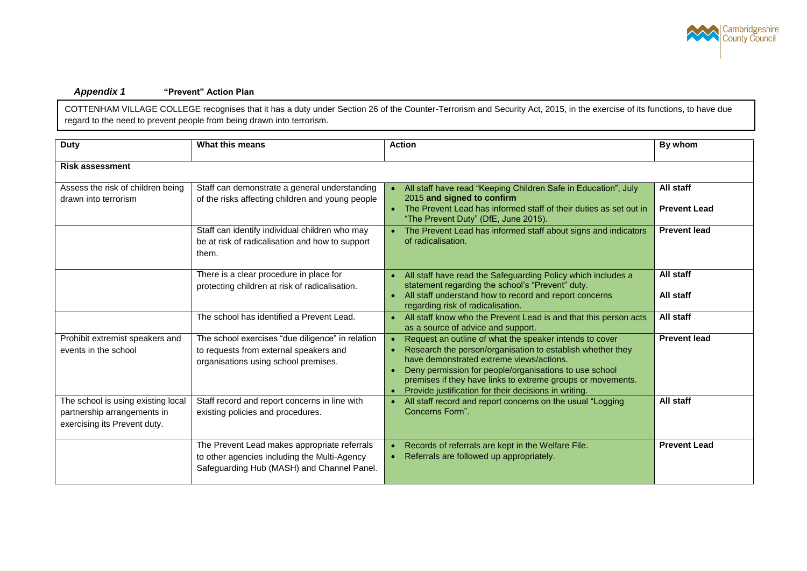

#### *Appendix 1* **"Prevent" Action Plan**

COTTENHAM VILLAGE COLLEGE recognises that it has a duty under Section 26 of the Counter-Terrorism and Security Act, 2015, in the exercise of its functions, to have due regard to the need to prevent people from being drawn into terrorism.

| <b>Duty</b>                                                                                       | What this means                                                                                                                            | <b>Action</b>                                                                                                                                                                                                                                                                                                                                                                 | By whom                          |
|---------------------------------------------------------------------------------------------------|--------------------------------------------------------------------------------------------------------------------------------------------|-------------------------------------------------------------------------------------------------------------------------------------------------------------------------------------------------------------------------------------------------------------------------------------------------------------------------------------------------------------------------------|----------------------------------|
| <b>Risk assessment</b>                                                                            |                                                                                                                                            |                                                                                                                                                                                                                                                                                                                                                                               |                                  |
| Assess the risk of children being<br>drawn into terrorism                                         | Staff can demonstrate a general understanding<br>of the risks affecting children and young people                                          | All staff have read "Keeping Children Safe in Education", July<br>2015 and signed to confirm<br>• The Prevent Lead has informed staff of their duties as set out in<br>"The Prevent Duty" (DfE, June 2015).                                                                                                                                                                   | All staff<br><b>Prevent Lead</b> |
|                                                                                                   | Staff can identify individual children who may<br>be at risk of radicalisation and how to support<br>them.                                 | The Prevent Lead has informed staff about signs and indicators<br>of radicalisation.                                                                                                                                                                                                                                                                                          | <b>Prevent lead</b>              |
|                                                                                                   | There is a clear procedure in place for<br>protecting children at risk of radicalisation.                                                  | All staff have read the Safeguarding Policy which includes a<br>statement regarding the school's "Prevent" duty.<br>All staff understand how to record and report concerns<br>$\bullet$<br>regarding risk of radicalisation.                                                                                                                                                  | All staff<br>All staff           |
|                                                                                                   | The school has identified a Prevent Lead.                                                                                                  | All staff know who the Prevent Lead is and that this person acts<br>$\bullet$<br>as a source of advice and support.                                                                                                                                                                                                                                                           | All staff                        |
| Prohibit extremist speakers and<br>events in the school                                           | The school exercises "due diligence" in relation<br>to requests from external speakers and<br>organisations using school premises.         | Request an outline of what the speaker intends to cover<br>Research the person/organisation to establish whether they<br>$\bullet$<br>have demonstrated extreme views/actions.<br>Deny permission for people/organisations to use school<br>$\bullet$<br>premises if they have links to extreme groups or movements.<br>Provide justification for their decisions in writing. | <b>Prevent lead</b>              |
| The school is using existing local<br>partnership arrangements in<br>exercising its Prevent duty. | Staff record and report concerns in line with<br>existing policies and procedures.                                                         | All staff record and report concerns on the usual "Logging<br>Concerns Form".                                                                                                                                                                                                                                                                                                 | All staff                        |
|                                                                                                   | The Prevent Lead makes appropriate referrals<br>to other agencies including the Multi-Agency<br>Safeguarding Hub (MASH) and Channel Panel. | Records of referrals are kept in the Welfare File.<br>Referrals are followed up appropriately.                                                                                                                                                                                                                                                                                | <b>Prevent Lead</b>              |